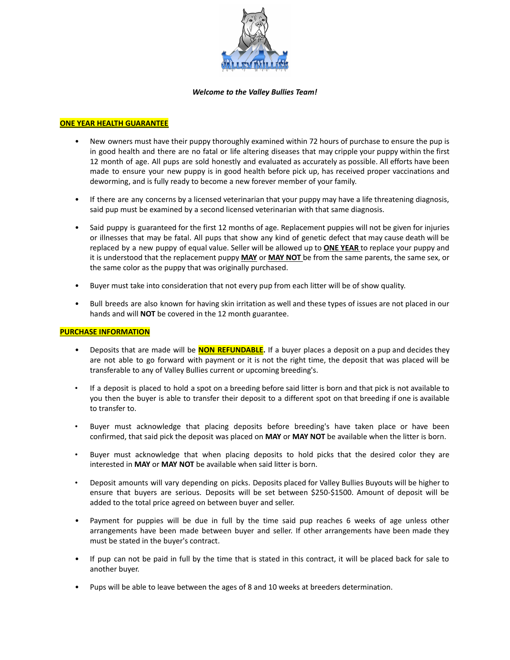

#### *Welcome to the Valley Bullies Team!*

### **ONE YEAR HEALTH GUARANTEE**

- New owners must have their puppy thoroughly examined within 72 hours of purchase to ensure the pup is in good health and there are no fatal or life altering diseases that may cripple your puppy within the first 12 month of age. All pups are sold honestly and evaluated as accurately as possible. All efforts have been made to ensure your new puppy is in good health before pick up, has received proper vaccinations and deworming, and is fully ready to become a new forever member of your family.
- If there are any concerns by a licensed veterinarian that your puppy may have a life threatening diagnosis, said pup must be examined by a second licensed veterinarian with that same diagnosis.
- Said puppy is guaranteed for the first 12 months of age. Replacement puppies will not be given for injuries or illnesses that may be fatal. All pups that show any kind of genetic defect that may cause death will be replaced by a new puppy of equal value. Seller will be allowed up to **ONE YEAR** to replace your puppy and it is understood that the replacement puppy **MAY** or **MAY NOT** be from the same parents, the same sex, or the same color as the puppy that was originally purchased.
- Buyer must take into consideration that not every pup from each litter will be of show quality.
- Bull breeds are also known for having skin irritation as well and these types of issues are not placed in our hands and will **NOT** be covered in the 12 month guarantee.

#### **PURCHASE INFORMATION**

- Deposits that are made will be **NON REFUNDABLE.** If a buyer places a deposit on a pup and decides they are not able to go forward with payment or it is not the right time, the deposit that was placed will be transferable to any of Valley Bullies current or upcoming breeding's.
- If a deposit is placed to hold a spot on a breeding before said litter is born and that pick is not available to you then the buyer is able to transfer their deposit to a different spot on that breeding if one is available to transfer to.
- Buyer must acknowledge that placing deposits before breeding's have taken place or have been confirmed, that said pick the deposit was placed on **MAY** or **MAY NOT** be available when the litter is born.
- Buyer must acknowledge that when placing deposits to hold picks that the desired color they are interested in **MAY** or **MAY NOT** be available when said litter is born.
- Deposit amounts will vary depending on picks. Deposits placed for Valley Bullies Buyouts will be higher to ensure that buyers are serious. Deposits will be set between \$250-\$1500. Amount of deposit will be added to the total price agreed on between buyer and seller.
- Payment for puppies will be due in full by the time said pup reaches 6 weeks of age unless other arrangements have been made between buyer and seller. If other arrangements have been made they must be stated in the buyer's contract.
- If pup can not be paid in full by the time that is stated in this contract, it will be placed back for sale to another buyer.
- Pups will be able to leave between the ages of 8 and 10 weeks at breeders determination.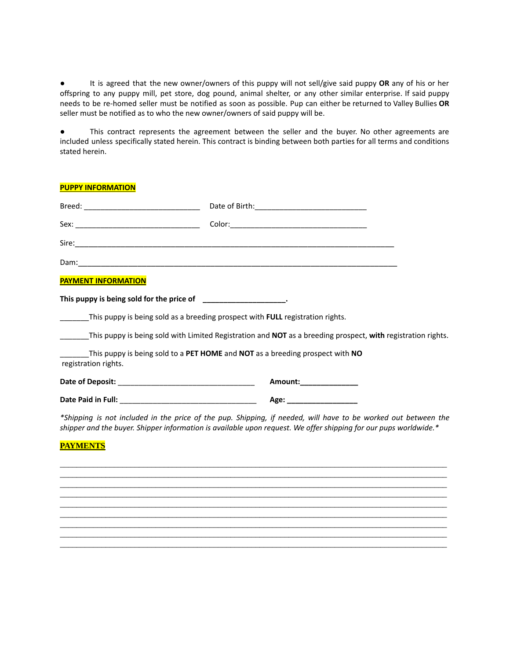● It is agreed that the new owner/owners of this puppy will not sell/give said puppy **OR** any of his or her offspring to any puppy mill, pet store, dog pound, animal shelter, or any other similar enterprise. If said puppy needs to be re-homed seller must be notified as soon as possible. Pup can either be returned to Valley Bullies **OR** seller must be notified as to who the new owner/owners of said puppy will be.

● This contract represents the agreement between the seller and the buyer. No other agreements are included unless specifically stated herein. This contract is binding between both parties for all terms and conditions stated herein.

| <b>PUPPY INFORMATION</b>                                                              |                                                                                                                                                                                                                                    |  |
|---------------------------------------------------------------------------------------|------------------------------------------------------------------------------------------------------------------------------------------------------------------------------------------------------------------------------------|--|
|                                                                                       |                                                                                                                                                                                                                                    |  |
|                                                                                       |                                                                                                                                                                                                                                    |  |
|                                                                                       |                                                                                                                                                                                                                                    |  |
|                                                                                       |                                                                                                                                                                                                                                    |  |
| <b>PAYMENT INFORMATION</b>                                                            |                                                                                                                                                                                                                                    |  |
| This puppy is being sold for the price of ____________________.                       |                                                                                                                                                                                                                                    |  |
| This puppy is being sold as a breeding prospect with <b>FULL</b> registration rights. |                                                                                                                                                                                                                                    |  |
|                                                                                       | This puppy is being sold with Limited Registration and <b>NOT</b> as a breeding prospect, with registration rights.                                                                                                                |  |
| registration rights.                                                                  | This puppy is being sold to a PET HOME and NOT as a breeding prospect with NO                                                                                                                                                      |  |
|                                                                                       | Amount:_______________                                                                                                                                                                                                             |  |
|                                                                                       |                                                                                                                                                                                                                                    |  |
|                                                                                       | *Shipping is not included in the price of the pup. Shipping, if needed, will have to be worked out between the<br>shipper and the buyer. Shipper information is available upon request. We offer shipping for our pups worldwide.* |  |

# **PAYMENTS**

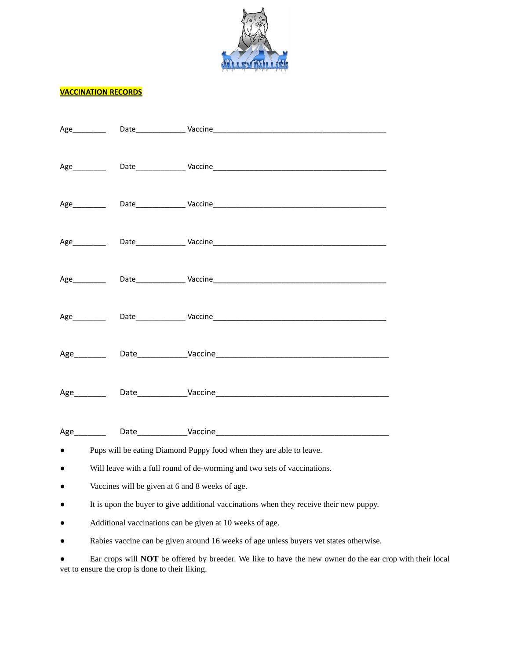

## **VACCINATION RECORDS**

|                                                                                         | Age_________                                    |                       |  |  |
|-----------------------------------------------------------------------------------------|-------------------------------------------------|-----------------------|--|--|
|                                                                                         |                                                 | Age Date Date Vaccine |  |  |
|                                                                                         |                                                 |                       |  |  |
|                                                                                         |                                                 |                       |  |  |
|                                                                                         |                                                 |                       |  |  |
|                                                                                         | Age__________                                   |                       |  |  |
|                                                                                         |                                                 |                       |  |  |
|                                                                                         |                                                 |                       |  |  |
|                                                                                         |                                                 |                       |  |  |
|                                                                                         |                                                 |                       |  |  |
|                                                                                         |                                                 |                       |  |  |
|                                                                                         |                                                 |                       |  |  |
| Pups will be eating Diamond Puppy food when they are able to leave.                     |                                                 |                       |  |  |
| Will leave with a full round of de-worming and two sets of vaccinations.<br>$\bullet$   |                                                 |                       |  |  |
|                                                                                         | Vaccines will be given at 6 and 8 weeks of age. |                       |  |  |
| It is upon the buyer to give additional vaccinations when they receive their new puppy. |                                                 |                       |  |  |

- Additional vaccinations can be given at 10 weeks of age.
- Rabies vaccine can be given around 16 weeks of age unless buyers vet states otherwise.

● Ear crops will **NOT** be offered by breeder. We like to have the new owner do the ear crop with their local vet to ensure the crop is done to their liking.